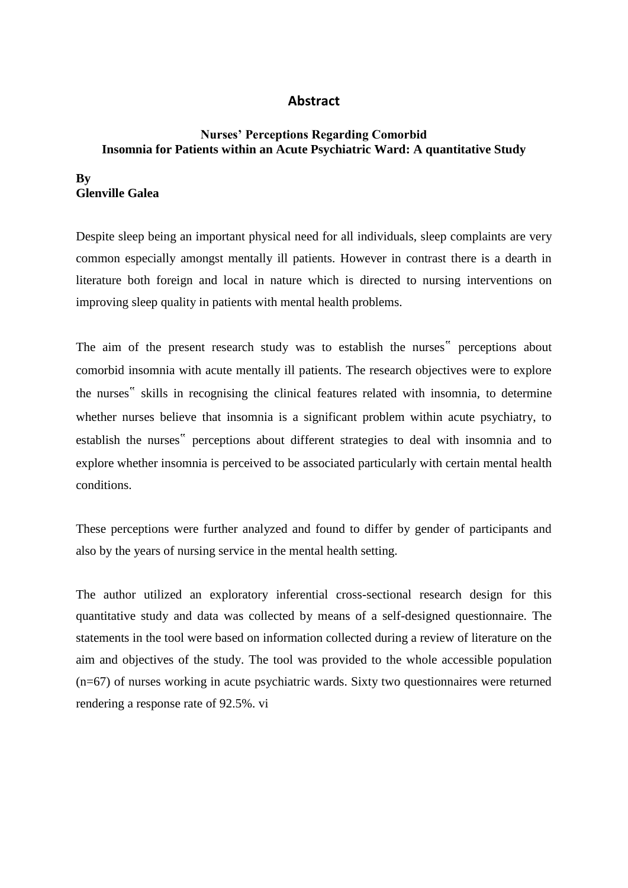## **Abstract**

## **Nurses' Perceptions Regarding Comorbid Insomnia for Patients within an Acute Psychiatric Ward: A quantitative Study**

## **By Glenville Galea**

Despite sleep being an important physical need for all individuals, sleep complaints are very common especially amongst mentally ill patients. However in contrast there is a dearth in literature both foreign and local in nature which is directed to nursing interventions on improving sleep quality in patients with mental health problems.

The aim of the present research study was to establish the nurses" perceptions about comorbid insomnia with acute mentally ill patients. The research objectives were to explore the nurses" skills in recognising the clinical features related with insomnia, to determine whether nurses believe that insomnia is a significant problem within acute psychiatry, to establish the nurses" perceptions about different strategies to deal with insomnia and to explore whether insomnia is perceived to be associated particularly with certain mental health conditions.

These perceptions were further analyzed and found to differ by gender of participants and also by the years of nursing service in the mental health setting.

The author utilized an exploratory inferential cross-sectional research design for this quantitative study and data was collected by means of a self-designed questionnaire. The statements in the tool were based on information collected during a review of literature on the aim and objectives of the study. The tool was provided to the whole accessible population (n=67) of nurses working in acute psychiatric wards. Sixty two questionnaires were returned rendering a response rate of 92.5%. vi